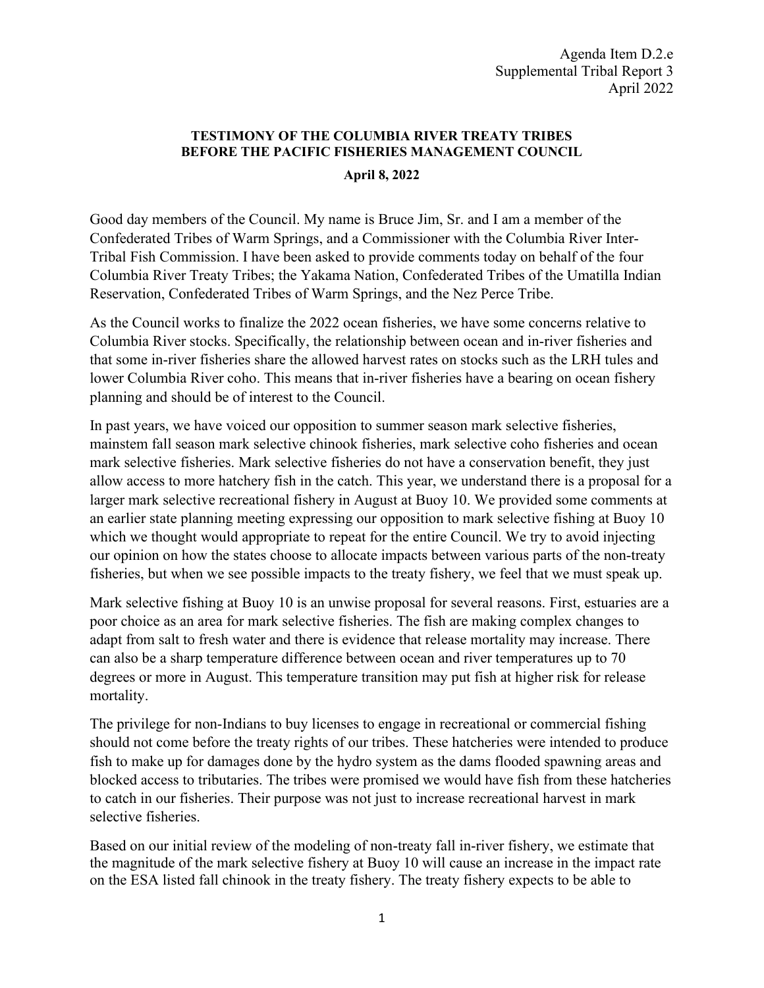## **TESTIMONY OF THE COLUMBIA RIVER TREATY TRIBES BEFORE THE PACIFIC FISHERIES MANAGEMENT COUNCIL**

## **April 8, 2022**

Good day members of the Council. My name is Bruce Jim, Sr. and I am a member of the Confederated Tribes of Warm Springs, and a Commissioner with the Columbia River Inter-Tribal Fish Commission. I have been asked to provide comments today on behalf of the four Columbia River Treaty Tribes; the Yakama Nation, Confederated Tribes of the Umatilla Indian Reservation, Confederated Tribes of Warm Springs, and the Nez Perce Tribe.

As the Council works to finalize the 2022 ocean fisheries, we have some concerns relative to Columbia River stocks. Specifically, the relationship between ocean and in-river fisheries and that some in-river fisheries share the allowed harvest rates on stocks such as the LRH tules and lower Columbia River coho. This means that in-river fisheries have a bearing on ocean fishery planning and should be of interest to the Council.

In past years, we have voiced our opposition to summer season mark selective fisheries, mainstem fall season mark selective chinook fisheries, mark selective coho fisheries and ocean mark selective fisheries. Mark selective fisheries do not have a conservation benefit, they just allow access to more hatchery fish in the catch. This year, we understand there is a proposal for a larger mark selective recreational fishery in August at Buoy 10. We provided some comments at an earlier state planning meeting expressing our opposition to mark selective fishing at Buoy 10 which we thought would appropriate to repeat for the entire Council. We try to avoid injecting our opinion on how the states choose to allocate impacts between various parts of the non-treaty fisheries, but when we see possible impacts to the treaty fishery, we feel that we must speak up.

Mark selective fishing at Buoy 10 is an unwise proposal for several reasons. First, estuaries are a poor choice as an area for mark selective fisheries. The fish are making complex changes to adapt from salt to fresh water and there is evidence that release mortality may increase. There can also be a sharp temperature difference between ocean and river temperatures up to 70 degrees or more in August. This temperature transition may put fish at higher risk for release mortality.

The privilege for non-Indians to buy licenses to engage in recreational or commercial fishing should not come before the treaty rights of our tribes. These hatcheries were intended to produce fish to make up for damages done by the hydro system as the dams flooded spawning areas and blocked access to tributaries. The tribes were promised we would have fish from these hatcheries to catch in our fisheries. Their purpose was not just to increase recreational harvest in mark selective fisheries.

Based on our initial review of the modeling of non-treaty fall in-river fishery, we estimate that the magnitude of the mark selective fishery at Buoy 10 will cause an increase in the impact rate on the ESA listed fall chinook in the treaty fishery. The treaty fishery expects to be able to